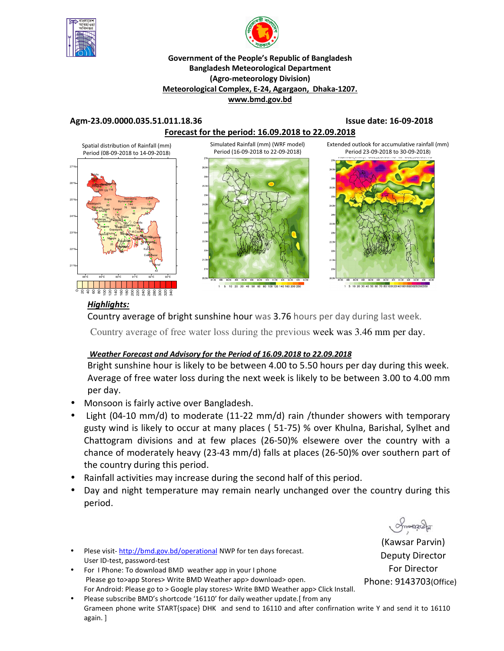



### **Government of the People's Republic of Bangladesh Bangladesh Meteorological Department (Agro-meteorology Division) Meteorological Complex, E-24, Agargaon, Dhaka-1207. www.bmd.gov.bd**

### **Agm-23.09.0000.035.51.011.18.36 Issue date: 16-09-2018**





## *Highlights:*

40 60 80 100 120 140 160 180 200 220 240 260 280 300 320 340

ន

Country average of bright sunshine hour was 3.76 hours per day during last week.

Country average of free water loss during the previous week was 3.46 mm per day.

## *Weather Forecast and Advisory for the Period of 16.09.2018 to 22.09.2018*

Bright sunshine hour is likely to be between 4.00 to 5.50 hours per day during this week. Average of free water loss during the next week is likely to be between 3.00 to 4.00 mm per day.

- Monsoon is fairly active over Bangladesh.
- Light (04-10 mm/d) to moderate (11-22 mm/d) rain /thunder showers with temporary gusty wind is likely to occur at many places ( 51-75) % over Khulna, Barishal, Sylhet and Chattogram divisions and at few places (26-50)% elsewere over the country with a chance of moderately heavy (23-43 mm/d) falls at places (26-50)% over southern part of the country during this period.
- Rainfall activities may increase during the second half of this period.
- Day and night temperature may remain nearly unchanged over the country during this period.
- Plese visit- http://bmd.gov.bd/operational NWP for ten days forecast. User ID-test, password-test
- For I Phone: To download BMD weather app in your I phone Please go to>app Stores> Write BMD Weather app> download> open. For Android: Please go to > Google play stores> Write BMD Weather app> Click Install.
- Please subscribe BMD's shortcode '16110' for daily weather update.[from any Grameen phone write START{space} DHK and send to 16110 and after confirnation write Y and send it to 16110 again. ]

(Kawsar Parvin) Deputy Director For Director

ommanach

Phone: 9143703(Office)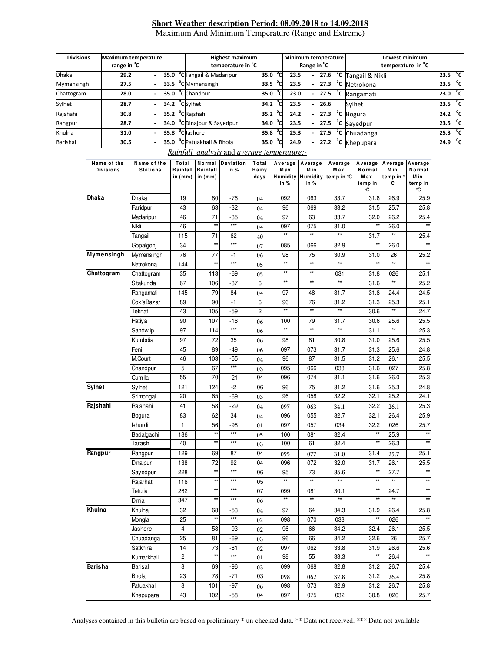### **Short Weather description Period: 08.09.2018 to 14.09.2018** Maximum And Minimum Temperature (Range and Extreme)

| <b>Divisions</b><br><b>Maximum temperature</b><br>range in <sup>o</sup> C |      |  |      | <b>Highest maximum</b><br>temperature in <sup>"</sup> C | Minimum temperature<br>Range in <sup>o</sup> C |          |               |      | Lowest minimum<br>temperature in <sup>o</sup> C |      |  |                                       |                     |                |
|---------------------------------------------------------------------------|------|--|------|---------------------------------------------------------|------------------------------------------------|----------|---------------|------|-------------------------------------------------|------|--|---------------------------------------|---------------------|----------------|
| <b>Dhaka</b>                                                              | 29.2 |  |      |                                                         | 35.0 <sup>o</sup> CTangail & Madaripur         | 35.0     | $^{\circ}$ c  | 23.5 | $\overline{\phantom{0}}$                        |      |  | $27.6$ <sup>o</sup> C Tangail & Nikli | 23.5 $^{\circ}$ C   |                |
| Mymensingh                                                                | 27.5 |  | 33.5 |                                                         | <sup>o</sup> CMymensingh                       | 33.5 °Cl |               | 23.5 | $\overline{\phantom{a}}$                        |      |  | $27.3$ °C Netrokona                   | 23.5                | °c             |
| Chattogram                                                                | 28.0 |  |      |                                                         | 35.0 °C Chandpur                               | 35.0     | $^{\circ}$ cl | 23.0 | $\overline{\phantom{a}}$                        |      |  | $27.5$ $\degree$ C Rangamati          | 23.0                | $^{\circ}$ c   |
| Sylhet                                                                    | 28.7 |  |      |                                                         | 34.2 Csvlhet                                   | 34.2     | $^{\circ}$ Cl | 23.5 | $\overline{\phantom{a}}$                        | 26.6 |  | Sylhet                                | 23.5                | $^{\circ}$ c   |
| Rajshahi                                                                  | 30.8 |  |      |                                                         | 35.2 <sup>o</sup> C Rajshahi                   | 35.2     | $^{\circ}$ c  | 24.2 | $\overline{\phantom{a}}$                        |      |  | $\overline{27.3}$ °C Bogura           | 24.2 $\mathrm{^0C}$ |                |
| Rangpur                                                                   | 28.7 |  |      |                                                         | 34.0 °C Dinajpur & Sayedpur                    | 34.0     | $^{\circ}$ Cl | 23.5 | $\sim$                                          |      |  | $27.5$ °C Sayedpur                    | 23.5                | $\overline{c}$ |
| Khulna                                                                    | 31.0 |  | 35.8 |                                                         | <sup>o</sup> Clashore                          | 35.8     | °c            | 25.3 | $\overline{\phantom{a}}$                        |      |  | $27.5$ <sup>o</sup> C Chuadanga       | 25.3 $^{\circ}$ C   |                |
| Barishal                                                                  | 30.5 |  | 35.0 |                                                         | <sup>o</sup> CPatuakhali & Bhola               | 35.0     | $^{\circ}$ C  | 24.9 |                                                 |      |  | $\overline{27.2}$ °C Khepupara        | 24.9                | °⊂             |

|  |  | Rainfall analysis and average temperature: |
|--|--|--------------------------------------------|
|  |  |                                            |

| 19<br>$-76$<br>Dhaka<br>80<br>092<br>063<br>33.7<br>26.9<br>31.8<br>04<br>Faridpur<br>43<br>63<br>$-32$<br>33.2<br>31.5<br>25.7<br>96<br>069<br>04<br>71<br>46<br>-35<br>97<br>63<br>33.7<br>32.0<br>26.2<br>Madaripur<br>04<br>$\star\star$<br>$***$<br>Nikli<br>46<br>097<br>075<br>31.0<br>26.0<br>04<br>$\star\star$<br>$\star\star$<br>$\star\star$<br>$\star\star$<br>Tangail<br>115<br>71<br>31.7<br>62<br>40<br>$\star\star$<br>$***$<br>$\star\star$<br>34<br>26.0<br>085<br>066<br>32.9<br>Gopalgonj<br>07<br>76<br>77<br>Mymensingh<br>$-1$<br>98<br>75<br>30.9<br>31.0<br>26<br>06<br>$\star\star$<br>$\star\star$<br>$***$<br>$\star\star$<br>$\star\star$<br>$\star\star$<br>$\star\star$<br>144<br>Netrokona<br>05<br>$\star\star$<br>$\star\star$<br>Chattogram<br>35<br>113<br>31.8<br>-69<br>031<br>026<br>05<br>$\star\star$<br>$\star\star$<br>$\star\star$<br>$\star\star$<br>67<br>Sitakunda<br>106<br>-37<br>6<br>31.6<br>79<br>145<br>84<br>97<br>31.7<br>31.8<br>24.4<br>Rangamati<br>48<br>04<br>90<br>31.3<br>Cox'sBazar<br>89<br>$-1$<br>6<br>96<br>76<br>31.2<br>25.3<br>$\star\star$<br>$\star\star$<br>$^{\star\star}$<br>$^{\star\star}$<br>Teknaf<br>43<br>105<br>$-59$<br>2<br>30.6<br>90<br>$-16$<br>31.7<br>25.6<br>Hatiya<br>107<br>100<br>79<br>30.6<br>06<br>***<br>$\star\star$<br>$\star\star$<br>$**$<br>$\star\star$<br>31.1<br>Sandw ip<br>97<br>114<br>06<br>Kutubdia<br>72<br>97<br>35<br>98<br>81<br>30.8<br>31.0<br>25.6<br>06<br>89<br>25.6<br>Feni<br>45<br>-49<br>097<br>073<br>31.7<br>31.3<br>06<br>M.Court<br>103<br>87<br>31.5<br>31.2<br>26.1<br>46<br>$-55$<br>96<br>04<br>$***$<br>5<br>67<br>033<br>027<br>Chandpur<br>095<br>066<br>31.6<br>03<br>55<br>70<br>04<br>096<br>074<br>31.1<br>31.6<br>26.0<br>Cumilla<br>-21<br>121<br>124<br>-2<br>06<br>96<br>75<br>31.2<br>31.6<br>25.3<br>Sylhet<br>96<br>32.2<br>32.1<br>25.2<br>20<br>65<br>058<br>Srimongal<br>-69<br>03<br>Rajshahi<br>41<br>58<br>$-29$<br>32.2<br>04<br>097<br>34.1<br>26.1<br>063<br>62<br>34<br>83<br>096<br>055<br>32.7<br>32.1<br>26.4<br>Bogura<br>04<br>$\mathbf{1}$<br>56<br>Ishurdi<br>-98<br>097<br>057<br>034<br>32.2<br>026<br>01<br>$***$<br>$\star\star$<br>$\star\star$<br>136<br>32.4<br>25.9<br>Badalgachi<br>100<br>081<br>05<br>$\star\star$<br>$\star\star$<br>$***$<br>40<br>100<br>61<br>32.4<br>26.3<br>Tarash<br>03<br>Rangpur<br>129<br>69<br>04<br>25.1<br>Rangpur<br>87<br>095<br>31.4<br>077<br>31.0<br>25.7<br>138<br>72<br>92<br>04<br>096<br>072<br>32.0<br>31.7<br>26.1<br>Dinajpur<br>$***$<br>$\star\star$<br>$^{\star\star}$<br>228<br>Sayedpur<br>06<br>95<br>73<br>35.6<br>27.7<br>$\star\star$<br>$\star\star$<br>$\star\star$<br>$\star\star$<br>***<br>$\star\star$<br>$\star\star$<br>116<br>Rajarhat<br>05<br>$\star\star$<br>$***$<br>$***$<br>Tetulia<br>262<br>07<br>30.1<br>24.7<br>099<br>081<br>**<br>$\star\star$<br>$\star\star$<br>$\star\star$<br>**<br>***<br>347<br>Dimla<br>06<br>32<br>68<br>97<br>64<br>34.3<br>31.9<br>26.4<br>25.8<br>Khulna<br>-53<br>04<br>$***$<br>$\star\star$<br>$***$<br>25<br>098<br>070<br>033<br>026<br>Mongla<br>02<br>25.5<br>Jashore<br>$\overline{58}$<br>34.2<br>32.4<br>26.1<br>-93<br>4<br>02<br>96<br>66<br>25<br>81<br>34.2<br>32.6<br>26<br>25.7<br>Chuadanga<br>-69<br>96<br>66<br>03<br>Satkhira<br>14<br>73<br>25.6<br>-81<br>097<br>062<br>33.8<br>31.9<br>26.6<br>02<br>$\star\star$<br>$***$<br>$\overline{c}$<br>98<br>55<br>33.3<br>26.4<br>Kumarkhali<br>01<br>3<br>69<br>32.8<br>31.2<br>26.7<br>Barisal<br>-96<br>099<br>068<br>25.4<br>03<br><b>Bhola</b><br>23<br>78<br>$-71$<br>03<br>31.2<br>25.8<br>098<br>26.4<br>062<br>32.8<br>Patuakhali<br>3<br>101<br>-97<br>098<br>073<br>32.9<br>31.2<br>26.7<br>25.8<br>06<br>43<br>102<br>04<br>30.8<br>Khepupara<br>-58<br>097<br>075<br>032<br>026 | Name of the<br><b>Divisions</b> | Name of the<br><b>Stations</b> | Total<br>Rainfall<br>in $(mm)$ | Normal<br>Rainfall<br>in $(mm)$ | Deviation<br>in % | Total<br>Rainy<br>days | Average<br>M ax<br><b>Humidity</b><br>in % | Average<br>Min<br>in % | Average<br>M ax.<br>Humidity temp in °C | Average<br>Normal<br>Max.<br>temp in<br>°C | Average<br>M in.<br>temp in °<br>С | Average<br>Normal<br>Min.<br>temp in<br>℃ |
|-----------------------------------------------------------------------------------------------------------------------------------------------------------------------------------------------------------------------------------------------------------------------------------------------------------------------------------------------------------------------------------------------------------------------------------------------------------------------------------------------------------------------------------------------------------------------------------------------------------------------------------------------------------------------------------------------------------------------------------------------------------------------------------------------------------------------------------------------------------------------------------------------------------------------------------------------------------------------------------------------------------------------------------------------------------------------------------------------------------------------------------------------------------------------------------------------------------------------------------------------------------------------------------------------------------------------------------------------------------------------------------------------------------------------------------------------------------------------------------------------------------------------------------------------------------------------------------------------------------------------------------------------------------------------------------------------------------------------------------------------------------------------------------------------------------------------------------------------------------------------------------------------------------------------------------------------------------------------------------------------------------------------------------------------------------------------------------------------------------------------------------------------------------------------------------------------------------------------------------------------------------------------------------------------------------------------------------------------------------------------------------------------------------------------------------------------------------------------------------------------------------------------------------------------------------------------------------------------------------------------------------------------------------------------------------------------------------------------------------------------------------------------------------------------------------------------------------------------------------------------------------------------------------------------------------------------------------------------------------------------------------------------------------------------------------------------------------------------------------------------------------------------------------------------------------------------------------------------------------------------------------------------------------------------------------------------------------------------------------------------------------------------------------------------------------------------------------------------------------------------------------------------------------------------------------------------------------------------------------------------------------------------------------------------------------------------------------------------------------------------------------------------------------------------------------------------------------------------|---------------------------------|--------------------------------|--------------------------------|---------------------------------|-------------------|------------------------|--------------------------------------------|------------------------|-----------------------------------------|--------------------------------------------|------------------------------------|-------------------------------------------|
|                                                                                                                                                                                                                                                                                                                                                                                                                                                                                                                                                                                                                                                                                                                                                                                                                                                                                                                                                                                                                                                                                                                                                                                                                                                                                                                                                                                                                                                                                                                                                                                                                                                                                                                                                                                                                                                                                                                                                                                                                                                                                                                                                                                                                                                                                                                                                                                                                                                                                                                                                                                                                                                                                                                                                                                                                                                                                                                                                                                                                                                                                                                                                                                                                                                                                                                                                                                                                                                                                                                                                                                                                                                                                                                                                                                                                                               | Dhaka                           |                                |                                |                                 |                   |                        |                                            |                        |                                         |                                            |                                    | 25.9                                      |
|                                                                                                                                                                                                                                                                                                                                                                                                                                                                                                                                                                                                                                                                                                                                                                                                                                                                                                                                                                                                                                                                                                                                                                                                                                                                                                                                                                                                                                                                                                                                                                                                                                                                                                                                                                                                                                                                                                                                                                                                                                                                                                                                                                                                                                                                                                                                                                                                                                                                                                                                                                                                                                                                                                                                                                                                                                                                                                                                                                                                                                                                                                                                                                                                                                                                                                                                                                                                                                                                                                                                                                                                                                                                                                                                                                                                                                               |                                 |                                |                                |                                 |                   |                        |                                            |                        |                                         |                                            |                                    | 25.8                                      |
|                                                                                                                                                                                                                                                                                                                                                                                                                                                                                                                                                                                                                                                                                                                                                                                                                                                                                                                                                                                                                                                                                                                                                                                                                                                                                                                                                                                                                                                                                                                                                                                                                                                                                                                                                                                                                                                                                                                                                                                                                                                                                                                                                                                                                                                                                                                                                                                                                                                                                                                                                                                                                                                                                                                                                                                                                                                                                                                                                                                                                                                                                                                                                                                                                                                                                                                                                                                                                                                                                                                                                                                                                                                                                                                                                                                                                                               |                                 |                                |                                |                                 |                   |                        |                                            |                        |                                         |                                            |                                    | 25.4                                      |
|                                                                                                                                                                                                                                                                                                                                                                                                                                                                                                                                                                                                                                                                                                                                                                                                                                                                                                                                                                                                                                                                                                                                                                                                                                                                                                                                                                                                                                                                                                                                                                                                                                                                                                                                                                                                                                                                                                                                                                                                                                                                                                                                                                                                                                                                                                                                                                                                                                                                                                                                                                                                                                                                                                                                                                                                                                                                                                                                                                                                                                                                                                                                                                                                                                                                                                                                                                                                                                                                                                                                                                                                                                                                                                                                                                                                                                               |                                 |                                |                                |                                 |                   |                        |                                            |                        |                                         |                                            |                                    | $**$                                      |
|                                                                                                                                                                                                                                                                                                                                                                                                                                                                                                                                                                                                                                                                                                                                                                                                                                                                                                                                                                                                                                                                                                                                                                                                                                                                                                                                                                                                                                                                                                                                                                                                                                                                                                                                                                                                                                                                                                                                                                                                                                                                                                                                                                                                                                                                                                                                                                                                                                                                                                                                                                                                                                                                                                                                                                                                                                                                                                                                                                                                                                                                                                                                                                                                                                                                                                                                                                                                                                                                                                                                                                                                                                                                                                                                                                                                                                               |                                 |                                |                                |                                 |                   |                        |                                            |                        |                                         |                                            |                                    | 25.4                                      |
|                                                                                                                                                                                                                                                                                                                                                                                                                                                                                                                                                                                                                                                                                                                                                                                                                                                                                                                                                                                                                                                                                                                                                                                                                                                                                                                                                                                                                                                                                                                                                                                                                                                                                                                                                                                                                                                                                                                                                                                                                                                                                                                                                                                                                                                                                                                                                                                                                                                                                                                                                                                                                                                                                                                                                                                                                                                                                                                                                                                                                                                                                                                                                                                                                                                                                                                                                                                                                                                                                                                                                                                                                                                                                                                                                                                                                                               |                                 |                                |                                |                                 |                   |                        |                                            |                        |                                         |                                            |                                    | $\star\star$                              |
|                                                                                                                                                                                                                                                                                                                                                                                                                                                                                                                                                                                                                                                                                                                                                                                                                                                                                                                                                                                                                                                                                                                                                                                                                                                                                                                                                                                                                                                                                                                                                                                                                                                                                                                                                                                                                                                                                                                                                                                                                                                                                                                                                                                                                                                                                                                                                                                                                                                                                                                                                                                                                                                                                                                                                                                                                                                                                                                                                                                                                                                                                                                                                                                                                                                                                                                                                                                                                                                                                                                                                                                                                                                                                                                                                                                                                                               | Mymensingh                      |                                |                                |                                 |                   |                        |                                            |                        |                                         |                                            |                                    | 25.2                                      |
|                                                                                                                                                                                                                                                                                                                                                                                                                                                                                                                                                                                                                                                                                                                                                                                                                                                                                                                                                                                                                                                                                                                                                                                                                                                                                                                                                                                                                                                                                                                                                                                                                                                                                                                                                                                                                                                                                                                                                                                                                                                                                                                                                                                                                                                                                                                                                                                                                                                                                                                                                                                                                                                                                                                                                                                                                                                                                                                                                                                                                                                                                                                                                                                                                                                                                                                                                                                                                                                                                                                                                                                                                                                                                                                                                                                                                                               |                                 |                                |                                |                                 |                   |                        |                                            |                        |                                         |                                            |                                    | $\star\star$                              |
|                                                                                                                                                                                                                                                                                                                                                                                                                                                                                                                                                                                                                                                                                                                                                                                                                                                                                                                                                                                                                                                                                                                                                                                                                                                                                                                                                                                                                                                                                                                                                                                                                                                                                                                                                                                                                                                                                                                                                                                                                                                                                                                                                                                                                                                                                                                                                                                                                                                                                                                                                                                                                                                                                                                                                                                                                                                                                                                                                                                                                                                                                                                                                                                                                                                                                                                                                                                                                                                                                                                                                                                                                                                                                                                                                                                                                                               | Chattogram                      |                                |                                |                                 |                   |                        |                                            |                        |                                         |                                            |                                    | 25.1                                      |
|                                                                                                                                                                                                                                                                                                                                                                                                                                                                                                                                                                                                                                                                                                                                                                                                                                                                                                                                                                                                                                                                                                                                                                                                                                                                                                                                                                                                                                                                                                                                                                                                                                                                                                                                                                                                                                                                                                                                                                                                                                                                                                                                                                                                                                                                                                                                                                                                                                                                                                                                                                                                                                                                                                                                                                                                                                                                                                                                                                                                                                                                                                                                                                                                                                                                                                                                                                                                                                                                                                                                                                                                                                                                                                                                                                                                                                               |                                 |                                |                                |                                 |                   |                        |                                            |                        |                                         |                                            |                                    | 25.2                                      |
|                                                                                                                                                                                                                                                                                                                                                                                                                                                                                                                                                                                                                                                                                                                                                                                                                                                                                                                                                                                                                                                                                                                                                                                                                                                                                                                                                                                                                                                                                                                                                                                                                                                                                                                                                                                                                                                                                                                                                                                                                                                                                                                                                                                                                                                                                                                                                                                                                                                                                                                                                                                                                                                                                                                                                                                                                                                                                                                                                                                                                                                                                                                                                                                                                                                                                                                                                                                                                                                                                                                                                                                                                                                                                                                                                                                                                                               |                                 |                                |                                |                                 |                   |                        |                                            |                        |                                         |                                            |                                    | 24.5                                      |
|                                                                                                                                                                                                                                                                                                                                                                                                                                                                                                                                                                                                                                                                                                                                                                                                                                                                                                                                                                                                                                                                                                                                                                                                                                                                                                                                                                                                                                                                                                                                                                                                                                                                                                                                                                                                                                                                                                                                                                                                                                                                                                                                                                                                                                                                                                                                                                                                                                                                                                                                                                                                                                                                                                                                                                                                                                                                                                                                                                                                                                                                                                                                                                                                                                                                                                                                                                                                                                                                                                                                                                                                                                                                                                                                                                                                                                               |                                 |                                |                                |                                 |                   |                        |                                            |                        |                                         |                                            |                                    | 25.1                                      |
|                                                                                                                                                                                                                                                                                                                                                                                                                                                                                                                                                                                                                                                                                                                                                                                                                                                                                                                                                                                                                                                                                                                                                                                                                                                                                                                                                                                                                                                                                                                                                                                                                                                                                                                                                                                                                                                                                                                                                                                                                                                                                                                                                                                                                                                                                                                                                                                                                                                                                                                                                                                                                                                                                                                                                                                                                                                                                                                                                                                                                                                                                                                                                                                                                                                                                                                                                                                                                                                                                                                                                                                                                                                                                                                                                                                                                                               |                                 |                                |                                |                                 |                   |                        |                                            |                        |                                         |                                            |                                    | 24.7                                      |
|                                                                                                                                                                                                                                                                                                                                                                                                                                                                                                                                                                                                                                                                                                                                                                                                                                                                                                                                                                                                                                                                                                                                                                                                                                                                                                                                                                                                                                                                                                                                                                                                                                                                                                                                                                                                                                                                                                                                                                                                                                                                                                                                                                                                                                                                                                                                                                                                                                                                                                                                                                                                                                                                                                                                                                                                                                                                                                                                                                                                                                                                                                                                                                                                                                                                                                                                                                                                                                                                                                                                                                                                                                                                                                                                                                                                                                               |                                 |                                |                                |                                 |                   |                        |                                            |                        |                                         |                                            |                                    | 25.5                                      |
|                                                                                                                                                                                                                                                                                                                                                                                                                                                                                                                                                                                                                                                                                                                                                                                                                                                                                                                                                                                                                                                                                                                                                                                                                                                                                                                                                                                                                                                                                                                                                                                                                                                                                                                                                                                                                                                                                                                                                                                                                                                                                                                                                                                                                                                                                                                                                                                                                                                                                                                                                                                                                                                                                                                                                                                                                                                                                                                                                                                                                                                                                                                                                                                                                                                                                                                                                                                                                                                                                                                                                                                                                                                                                                                                                                                                                                               |                                 |                                |                                |                                 |                   |                        |                                            |                        |                                         |                                            |                                    | 25.3                                      |
|                                                                                                                                                                                                                                                                                                                                                                                                                                                                                                                                                                                                                                                                                                                                                                                                                                                                                                                                                                                                                                                                                                                                                                                                                                                                                                                                                                                                                                                                                                                                                                                                                                                                                                                                                                                                                                                                                                                                                                                                                                                                                                                                                                                                                                                                                                                                                                                                                                                                                                                                                                                                                                                                                                                                                                                                                                                                                                                                                                                                                                                                                                                                                                                                                                                                                                                                                                                                                                                                                                                                                                                                                                                                                                                                                                                                                                               |                                 |                                |                                |                                 |                   |                        |                                            |                        |                                         |                                            |                                    | 25.5                                      |
|                                                                                                                                                                                                                                                                                                                                                                                                                                                                                                                                                                                                                                                                                                                                                                                                                                                                                                                                                                                                                                                                                                                                                                                                                                                                                                                                                                                                                                                                                                                                                                                                                                                                                                                                                                                                                                                                                                                                                                                                                                                                                                                                                                                                                                                                                                                                                                                                                                                                                                                                                                                                                                                                                                                                                                                                                                                                                                                                                                                                                                                                                                                                                                                                                                                                                                                                                                                                                                                                                                                                                                                                                                                                                                                                                                                                                                               |                                 |                                |                                |                                 |                   |                        |                                            |                        |                                         |                                            |                                    | 24.8                                      |
|                                                                                                                                                                                                                                                                                                                                                                                                                                                                                                                                                                                                                                                                                                                                                                                                                                                                                                                                                                                                                                                                                                                                                                                                                                                                                                                                                                                                                                                                                                                                                                                                                                                                                                                                                                                                                                                                                                                                                                                                                                                                                                                                                                                                                                                                                                                                                                                                                                                                                                                                                                                                                                                                                                                                                                                                                                                                                                                                                                                                                                                                                                                                                                                                                                                                                                                                                                                                                                                                                                                                                                                                                                                                                                                                                                                                                                               |                                 |                                |                                |                                 |                   |                        |                                            |                        |                                         |                                            |                                    | 25.5                                      |
|                                                                                                                                                                                                                                                                                                                                                                                                                                                                                                                                                                                                                                                                                                                                                                                                                                                                                                                                                                                                                                                                                                                                                                                                                                                                                                                                                                                                                                                                                                                                                                                                                                                                                                                                                                                                                                                                                                                                                                                                                                                                                                                                                                                                                                                                                                                                                                                                                                                                                                                                                                                                                                                                                                                                                                                                                                                                                                                                                                                                                                                                                                                                                                                                                                                                                                                                                                                                                                                                                                                                                                                                                                                                                                                                                                                                                                               |                                 |                                |                                |                                 |                   |                        |                                            |                        |                                         |                                            |                                    | 25.8                                      |
|                                                                                                                                                                                                                                                                                                                                                                                                                                                                                                                                                                                                                                                                                                                                                                                                                                                                                                                                                                                                                                                                                                                                                                                                                                                                                                                                                                                                                                                                                                                                                                                                                                                                                                                                                                                                                                                                                                                                                                                                                                                                                                                                                                                                                                                                                                                                                                                                                                                                                                                                                                                                                                                                                                                                                                                                                                                                                                                                                                                                                                                                                                                                                                                                                                                                                                                                                                                                                                                                                                                                                                                                                                                                                                                                                                                                                                               |                                 |                                |                                |                                 |                   |                        |                                            |                        |                                         |                                            |                                    | 25.3                                      |
|                                                                                                                                                                                                                                                                                                                                                                                                                                                                                                                                                                                                                                                                                                                                                                                                                                                                                                                                                                                                                                                                                                                                                                                                                                                                                                                                                                                                                                                                                                                                                                                                                                                                                                                                                                                                                                                                                                                                                                                                                                                                                                                                                                                                                                                                                                                                                                                                                                                                                                                                                                                                                                                                                                                                                                                                                                                                                                                                                                                                                                                                                                                                                                                                                                                                                                                                                                                                                                                                                                                                                                                                                                                                                                                                                                                                                                               | Sylhet                          |                                |                                |                                 |                   |                        |                                            |                        |                                         |                                            |                                    | 24.8                                      |
|                                                                                                                                                                                                                                                                                                                                                                                                                                                                                                                                                                                                                                                                                                                                                                                                                                                                                                                                                                                                                                                                                                                                                                                                                                                                                                                                                                                                                                                                                                                                                                                                                                                                                                                                                                                                                                                                                                                                                                                                                                                                                                                                                                                                                                                                                                                                                                                                                                                                                                                                                                                                                                                                                                                                                                                                                                                                                                                                                                                                                                                                                                                                                                                                                                                                                                                                                                                                                                                                                                                                                                                                                                                                                                                                                                                                                                               |                                 |                                |                                |                                 |                   |                        |                                            |                        |                                         |                                            |                                    | 24.1                                      |
|                                                                                                                                                                                                                                                                                                                                                                                                                                                                                                                                                                                                                                                                                                                                                                                                                                                                                                                                                                                                                                                                                                                                                                                                                                                                                                                                                                                                                                                                                                                                                                                                                                                                                                                                                                                                                                                                                                                                                                                                                                                                                                                                                                                                                                                                                                                                                                                                                                                                                                                                                                                                                                                                                                                                                                                                                                                                                                                                                                                                                                                                                                                                                                                                                                                                                                                                                                                                                                                                                                                                                                                                                                                                                                                                                                                                                                               | Rajshahi                        |                                |                                |                                 |                   |                        |                                            |                        |                                         |                                            |                                    | 25.3                                      |
|                                                                                                                                                                                                                                                                                                                                                                                                                                                                                                                                                                                                                                                                                                                                                                                                                                                                                                                                                                                                                                                                                                                                                                                                                                                                                                                                                                                                                                                                                                                                                                                                                                                                                                                                                                                                                                                                                                                                                                                                                                                                                                                                                                                                                                                                                                                                                                                                                                                                                                                                                                                                                                                                                                                                                                                                                                                                                                                                                                                                                                                                                                                                                                                                                                                                                                                                                                                                                                                                                                                                                                                                                                                                                                                                                                                                                                               |                                 |                                |                                |                                 |                   |                        |                                            |                        |                                         |                                            |                                    | 25.9                                      |
|                                                                                                                                                                                                                                                                                                                                                                                                                                                                                                                                                                                                                                                                                                                                                                                                                                                                                                                                                                                                                                                                                                                                                                                                                                                                                                                                                                                                                                                                                                                                                                                                                                                                                                                                                                                                                                                                                                                                                                                                                                                                                                                                                                                                                                                                                                                                                                                                                                                                                                                                                                                                                                                                                                                                                                                                                                                                                                                                                                                                                                                                                                                                                                                                                                                                                                                                                                                                                                                                                                                                                                                                                                                                                                                                                                                                                                               |                                 |                                |                                |                                 |                   |                        |                                            |                        |                                         |                                            |                                    | 25.7                                      |
|                                                                                                                                                                                                                                                                                                                                                                                                                                                                                                                                                                                                                                                                                                                                                                                                                                                                                                                                                                                                                                                                                                                                                                                                                                                                                                                                                                                                                                                                                                                                                                                                                                                                                                                                                                                                                                                                                                                                                                                                                                                                                                                                                                                                                                                                                                                                                                                                                                                                                                                                                                                                                                                                                                                                                                                                                                                                                                                                                                                                                                                                                                                                                                                                                                                                                                                                                                                                                                                                                                                                                                                                                                                                                                                                                                                                                                               |                                 |                                |                                |                                 |                   |                        |                                            |                        |                                         |                                            |                                    | $^{\star\star}$                           |
|                                                                                                                                                                                                                                                                                                                                                                                                                                                                                                                                                                                                                                                                                                                                                                                                                                                                                                                                                                                                                                                                                                                                                                                                                                                                                                                                                                                                                                                                                                                                                                                                                                                                                                                                                                                                                                                                                                                                                                                                                                                                                                                                                                                                                                                                                                                                                                                                                                                                                                                                                                                                                                                                                                                                                                                                                                                                                                                                                                                                                                                                                                                                                                                                                                                                                                                                                                                                                                                                                                                                                                                                                                                                                                                                                                                                                                               |                                 |                                |                                |                                 |                   |                        |                                            |                        |                                         |                                            |                                    |                                           |
|                                                                                                                                                                                                                                                                                                                                                                                                                                                                                                                                                                                                                                                                                                                                                                                                                                                                                                                                                                                                                                                                                                                                                                                                                                                                                                                                                                                                                                                                                                                                                                                                                                                                                                                                                                                                                                                                                                                                                                                                                                                                                                                                                                                                                                                                                                                                                                                                                                                                                                                                                                                                                                                                                                                                                                                                                                                                                                                                                                                                                                                                                                                                                                                                                                                                                                                                                                                                                                                                                                                                                                                                                                                                                                                                                                                                                                               |                                 |                                |                                |                                 |                   |                        |                                            |                        |                                         |                                            |                                    |                                           |
|                                                                                                                                                                                                                                                                                                                                                                                                                                                                                                                                                                                                                                                                                                                                                                                                                                                                                                                                                                                                                                                                                                                                                                                                                                                                                                                                                                                                                                                                                                                                                                                                                                                                                                                                                                                                                                                                                                                                                                                                                                                                                                                                                                                                                                                                                                                                                                                                                                                                                                                                                                                                                                                                                                                                                                                                                                                                                                                                                                                                                                                                                                                                                                                                                                                                                                                                                                                                                                                                                                                                                                                                                                                                                                                                                                                                                                               |                                 |                                |                                |                                 |                   |                        |                                            |                        |                                         |                                            |                                    | 25.5                                      |
|                                                                                                                                                                                                                                                                                                                                                                                                                                                                                                                                                                                                                                                                                                                                                                                                                                                                                                                                                                                                                                                                                                                                                                                                                                                                                                                                                                                                                                                                                                                                                                                                                                                                                                                                                                                                                                                                                                                                                                                                                                                                                                                                                                                                                                                                                                                                                                                                                                                                                                                                                                                                                                                                                                                                                                                                                                                                                                                                                                                                                                                                                                                                                                                                                                                                                                                                                                                                                                                                                                                                                                                                                                                                                                                                                                                                                                               |                                 |                                |                                |                                 |                   |                        |                                            |                        |                                         |                                            |                                    | $\star\star$                              |
|                                                                                                                                                                                                                                                                                                                                                                                                                                                                                                                                                                                                                                                                                                                                                                                                                                                                                                                                                                                                                                                                                                                                                                                                                                                                                                                                                                                                                                                                                                                                                                                                                                                                                                                                                                                                                                                                                                                                                                                                                                                                                                                                                                                                                                                                                                                                                                                                                                                                                                                                                                                                                                                                                                                                                                                                                                                                                                                                                                                                                                                                                                                                                                                                                                                                                                                                                                                                                                                                                                                                                                                                                                                                                                                                                                                                                                               |                                 |                                |                                |                                 |                   |                        |                                            |                        |                                         |                                            |                                    | $\star\star$                              |
|                                                                                                                                                                                                                                                                                                                                                                                                                                                                                                                                                                                                                                                                                                                                                                                                                                                                                                                                                                                                                                                                                                                                                                                                                                                                                                                                                                                                                                                                                                                                                                                                                                                                                                                                                                                                                                                                                                                                                                                                                                                                                                                                                                                                                                                                                                                                                                                                                                                                                                                                                                                                                                                                                                                                                                                                                                                                                                                                                                                                                                                                                                                                                                                                                                                                                                                                                                                                                                                                                                                                                                                                                                                                                                                                                                                                                                               |                                 |                                |                                |                                 |                   |                        |                                            |                        |                                         |                                            |                                    | $^{\star\star}$                           |
|                                                                                                                                                                                                                                                                                                                                                                                                                                                                                                                                                                                                                                                                                                                                                                                                                                                                                                                                                                                                                                                                                                                                                                                                                                                                                                                                                                                                                                                                                                                                                                                                                                                                                                                                                                                                                                                                                                                                                                                                                                                                                                                                                                                                                                                                                                                                                                                                                                                                                                                                                                                                                                                                                                                                                                                                                                                                                                                                                                                                                                                                                                                                                                                                                                                                                                                                                                                                                                                                                                                                                                                                                                                                                                                                                                                                                                               |                                 |                                |                                |                                 |                   |                        |                                            |                        |                                         |                                            |                                    |                                           |
|                                                                                                                                                                                                                                                                                                                                                                                                                                                                                                                                                                                                                                                                                                                                                                                                                                                                                                                                                                                                                                                                                                                                                                                                                                                                                                                                                                                                                                                                                                                                                                                                                                                                                                                                                                                                                                                                                                                                                                                                                                                                                                                                                                                                                                                                                                                                                                                                                                                                                                                                                                                                                                                                                                                                                                                                                                                                                                                                                                                                                                                                                                                                                                                                                                                                                                                                                                                                                                                                                                                                                                                                                                                                                                                                                                                                                                               | Khulna                          |                                |                                |                                 |                   |                        |                                            |                        |                                         |                                            |                                    |                                           |
|                                                                                                                                                                                                                                                                                                                                                                                                                                                                                                                                                                                                                                                                                                                                                                                                                                                                                                                                                                                                                                                                                                                                                                                                                                                                                                                                                                                                                                                                                                                                                                                                                                                                                                                                                                                                                                                                                                                                                                                                                                                                                                                                                                                                                                                                                                                                                                                                                                                                                                                                                                                                                                                                                                                                                                                                                                                                                                                                                                                                                                                                                                                                                                                                                                                                                                                                                                                                                                                                                                                                                                                                                                                                                                                                                                                                                                               |                                 |                                |                                |                                 |                   |                        |                                            |                        |                                         |                                            |                                    | $^{\star\star}$                           |
|                                                                                                                                                                                                                                                                                                                                                                                                                                                                                                                                                                                                                                                                                                                                                                                                                                                                                                                                                                                                                                                                                                                                                                                                                                                                                                                                                                                                                                                                                                                                                                                                                                                                                                                                                                                                                                                                                                                                                                                                                                                                                                                                                                                                                                                                                                                                                                                                                                                                                                                                                                                                                                                                                                                                                                                                                                                                                                                                                                                                                                                                                                                                                                                                                                                                                                                                                                                                                                                                                                                                                                                                                                                                                                                                                                                                                                               |                                 |                                |                                |                                 |                   |                        |                                            |                        |                                         |                                            |                                    |                                           |
|                                                                                                                                                                                                                                                                                                                                                                                                                                                                                                                                                                                                                                                                                                                                                                                                                                                                                                                                                                                                                                                                                                                                                                                                                                                                                                                                                                                                                                                                                                                                                                                                                                                                                                                                                                                                                                                                                                                                                                                                                                                                                                                                                                                                                                                                                                                                                                                                                                                                                                                                                                                                                                                                                                                                                                                                                                                                                                                                                                                                                                                                                                                                                                                                                                                                                                                                                                                                                                                                                                                                                                                                                                                                                                                                                                                                                                               |                                 |                                |                                |                                 |                   |                        |                                            |                        |                                         |                                            |                                    |                                           |
|                                                                                                                                                                                                                                                                                                                                                                                                                                                                                                                                                                                                                                                                                                                                                                                                                                                                                                                                                                                                                                                                                                                                                                                                                                                                                                                                                                                                                                                                                                                                                                                                                                                                                                                                                                                                                                                                                                                                                                                                                                                                                                                                                                                                                                                                                                                                                                                                                                                                                                                                                                                                                                                                                                                                                                                                                                                                                                                                                                                                                                                                                                                                                                                                                                                                                                                                                                                                                                                                                                                                                                                                                                                                                                                                                                                                                                               |                                 |                                |                                |                                 |                   |                        |                                            |                        |                                         |                                            |                                    |                                           |
|                                                                                                                                                                                                                                                                                                                                                                                                                                                                                                                                                                                                                                                                                                                                                                                                                                                                                                                                                                                                                                                                                                                                                                                                                                                                                                                                                                                                                                                                                                                                                                                                                                                                                                                                                                                                                                                                                                                                                                                                                                                                                                                                                                                                                                                                                                                                                                                                                                                                                                                                                                                                                                                                                                                                                                                                                                                                                                                                                                                                                                                                                                                                                                                                                                                                                                                                                                                                                                                                                                                                                                                                                                                                                                                                                                                                                                               |                                 |                                |                                |                                 |                   |                        |                                            |                        |                                         |                                            |                                    |                                           |
|                                                                                                                                                                                                                                                                                                                                                                                                                                                                                                                                                                                                                                                                                                                                                                                                                                                                                                                                                                                                                                                                                                                                                                                                                                                                                                                                                                                                                                                                                                                                                                                                                                                                                                                                                                                                                                                                                                                                                                                                                                                                                                                                                                                                                                                                                                                                                                                                                                                                                                                                                                                                                                                                                                                                                                                                                                                                                                                                                                                                                                                                                                                                                                                                                                                                                                                                                                                                                                                                                                                                                                                                                                                                                                                                                                                                                                               | <b>Barishal</b>                 |                                |                                |                                 |                   |                        |                                            |                        |                                         |                                            |                                    |                                           |
|                                                                                                                                                                                                                                                                                                                                                                                                                                                                                                                                                                                                                                                                                                                                                                                                                                                                                                                                                                                                                                                                                                                                                                                                                                                                                                                                                                                                                                                                                                                                                                                                                                                                                                                                                                                                                                                                                                                                                                                                                                                                                                                                                                                                                                                                                                                                                                                                                                                                                                                                                                                                                                                                                                                                                                                                                                                                                                                                                                                                                                                                                                                                                                                                                                                                                                                                                                                                                                                                                                                                                                                                                                                                                                                                                                                                                                               |                                 |                                |                                |                                 |                   |                        |                                            |                        |                                         |                                            |                                    |                                           |
|                                                                                                                                                                                                                                                                                                                                                                                                                                                                                                                                                                                                                                                                                                                                                                                                                                                                                                                                                                                                                                                                                                                                                                                                                                                                                                                                                                                                                                                                                                                                                                                                                                                                                                                                                                                                                                                                                                                                                                                                                                                                                                                                                                                                                                                                                                                                                                                                                                                                                                                                                                                                                                                                                                                                                                                                                                                                                                                                                                                                                                                                                                                                                                                                                                                                                                                                                                                                                                                                                                                                                                                                                                                                                                                                                                                                                                               |                                 |                                |                                |                                 |                   |                        |                                            |                        |                                         |                                            |                                    |                                           |
|                                                                                                                                                                                                                                                                                                                                                                                                                                                                                                                                                                                                                                                                                                                                                                                                                                                                                                                                                                                                                                                                                                                                                                                                                                                                                                                                                                                                                                                                                                                                                                                                                                                                                                                                                                                                                                                                                                                                                                                                                                                                                                                                                                                                                                                                                                                                                                                                                                                                                                                                                                                                                                                                                                                                                                                                                                                                                                                                                                                                                                                                                                                                                                                                                                                                                                                                                                                                                                                                                                                                                                                                                                                                                                                                                                                                                                               |                                 |                                |                                |                                 |                   |                        |                                            |                        |                                         |                                            |                                    | 25.7                                      |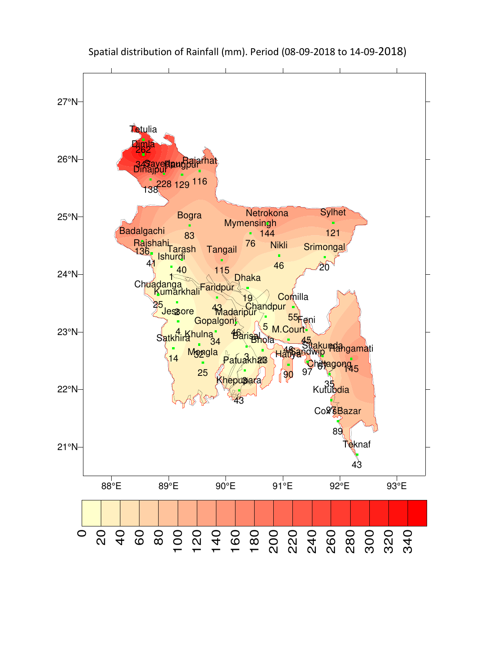

# Spatial distribution of Rainfall (mm). Period (08-09-2018 to 14-09-2018)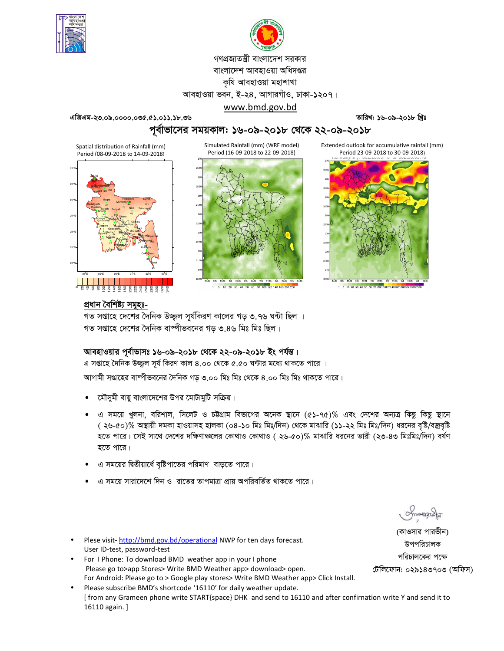



গণপ্রজাতন্ত্রী বাংলাদেশ সরকার বাংলাদেশ আবহাওয়া অধিদপ্তর কষি আবহাওয়া মহাশাখা

আবহাওয়া ভবন, ই-২৪, আগারগাঁও, ঢাকা-১২০৭।

www.bmd.gov.bd

তারিখ: ১৬-০৯-২০১৮ খ্রিঃ

পর্বাভাসের সময়কাল: ১৬-০৯-২০১৮ থেকে ২২-০৯-২০১৮

Simulated Rainfall (mm) (WRF model)

Extended outlook for accumulative rainfall (mm) Period 23-09-2018 to 30-09-2018)



এজিএম-২৩.০৯.০০০০.০৩৫.৫১.০১১.১৮.৩৬



1 5 10 20 30 40 50 60 80 100 120 140 160 200 250



## প্ৰধান বৈশিষ্ট্য সমূহঃ-

গত সপ্তাহে দেশের দৈনিক উজ্জ্বল সূর্যকিরণ কালের গড় ৩.৭৬ ঘন্টা ছিল । গত সপ্তাহে দেশের দৈনিক বাষ্পীভবনের গড় ৩.৪৬ মিঃ মিঃ ছিল।

## আবহাওয়ার পূর্বাভাসঃ ১৬-০৯-২০১৮ থেকে ২২-০৯-২০১৮ ইং পর্যন্ত।

এ সপ্তাহে দৈনিক উজ্জ্বল সূর্য কিরণ কাল ৪.০০ থেকে ৫.৫০ ঘন্টার মধ্যে থাকতে পারে ।

আগামী সপ্তাহের বাষ্পীভবনের দৈনিক গড় ৩.০০ মিঃ মিঃ থেকে ৪.০০ মিঃ মিঃ থাকতে পারে।

- মৌসুমী বায়ু বাংলাদেশের উপর মোটামুটি সক্রিয়।
- এ সময়ে খুলনা, বরিশাল, সিলেট ও চট্টগ্রাম বিভাগের অনেক স্থানে (৫১-৭৫)% এবং দেশের অন্যত্র কিছু কিছু স্থানে ( ২৬-৫০)% অস্থায়ী দমকা হাওয়াসহ হালকা (০৪-১০ মিঃ মিঃ/দিন) থেকে মাঝারি (১১-২২ মিঃ মিঃ/দিন) ধরনের বৃষ্টি/বজ্রবৃষ্টি হতে পারে। সেই সাথে দেশের দক্ষিণাঞ্চলের কোথাও কোথাও ( ২৬-৫০)% মাঝারি ধরনের ভারী (২৩-৪৩ মিঃমিঃ/দিন) বর্ষণ হতে পারে।
- এ সময়ের দ্বিতীয়ার্ধে বৃষ্টিপাতের পরিমাণ বাড়তে পারে।
- এ সময়ে সারাদেশে দিন ও রাতের তাপমাত্রা প্রায় অপরিবর্তিত থাকতে পারে।
- Plese visit-http://bmd.gov.bd/operational NWP for ten days forecast. User ID-test, password-test
- For I Phone: To download BMD weather app in your I phone Please go to>app Stores> Write BMD Weather app> download> open. For Android: Please go to > Google play stores> Write BMD Weather app> Click Install.
- Please subscribe BMD's shortcode '16110' for daily weather update. [from any Grameen phone write START{space} DHK and send to 16110 and after confirnation write Y and send it to 16110 again. ]

(কাওসার পারভীন) উপপরিচালক পরিচালকের পক্ষে

টেলিফোন: ০২৯১৪৩৭০৩ (অফিস)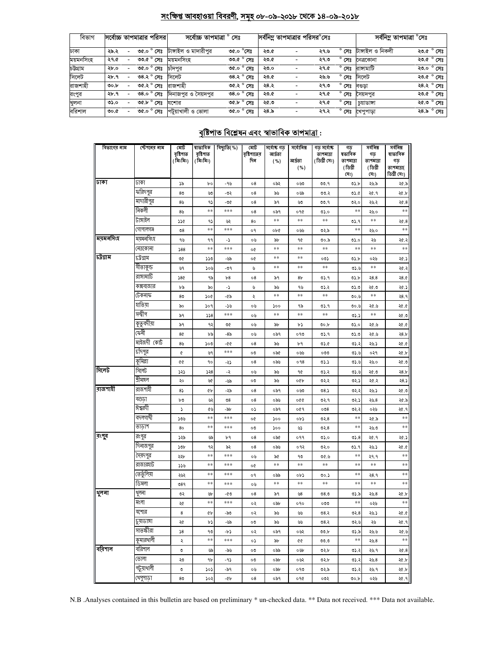#### <u>সংক্ষিপ্ত আবহাওয়া বিবরণী, সমূহ ০৮-০৯-২০১৮ থেকে ১৪-০৯-২০১৮</u>

| বিভাগ     | সর্বোচ্চ তাপমাত্রার পরিসর |      |                     | সৰ্বোচ্চ তাপমাত্ৰা   | সেঃ |                     |      | সর্বনিম তাপমাত্রার পরিসর <sup>o</sup> সেঃ |                  | সর্বনিম্ন তাপমাত্রা °সেঃ |            |
|-----------|---------------------------|------|---------------------|----------------------|-----|---------------------|------|-------------------------------------------|------------------|--------------------------|------------|
| ঢাকা      | ২৯.২                      | 0.90 | $^{\circ}$ সেঃ      | টাঙ্গাইল ও মাদারীপুর |     | ৩৫.০ $^{\circ}$ সেঃ | ২৩.৫ | ২৭.৬                                      | $^{\circ}$ সেঃ   | টাঙ্গাইল ও নিকলী         | ২৩.৫ ° সেঃ |
| ময়মনসিংহ | ২৭.৫                      |      | ৩৩.৫ $^{\circ}$ সেঃ | ময়মনসংহ             |     | ৩৩.৫ $^{\circ}$ সেঃ | ২৩.৫ | ২৭.৩                                      | $^{\circ}$ সেঃ   | নেত্ৰকোনা                | ২৩.৫ ° সেঃ |
| চটগ্ৰাম   | ২৮.০                      |      | ৩৫.০ ° সেঃ          | চাঁদপর               |     | ৩৫.০ ° সেঃ          | ২৩.০ | ২৭.৫                                      | $^{\circ}$ সেঃ   | রাসামাটি                 | ২৩.০ ° সেঃ |
| সিলেট     | ২৮.৭                      |      | ৩৪.২ $^{\circ}$ সেঃ | সিলেট                |     | ৩৪.২ $^{\circ}$ সেঃ | ২৩.৫ | ২৬.৬                                      | $^{\circ}$ সেঃ   | সিলেট                    | ২৩.৫ ° সেঃ |
| রাজশাহী   | ৩০.৮                      |      | ৩৫.২ ° সেঃ          | রাজশাহী              |     | ৩৫.২ ° সেঃ          | ২৪.২ | ২৭.৩                                      | $^{\circ}$ সেঃ   | বণ্ডতা                   | ২৪.২ ° সেঃ |
| রংপুর     | ২৮.৭                      |      | ৩৪.০ $^{\circ}$ সেঃ | দিনাজপুর ও সৈয়দপুর  |     | ৩৪.০ $^{\circ}$ সেঃ | ২৩.৫ | ২৭.৫                                      | $^{\circ}$ সেঃ   | সেয়দপর                  | ২৩.৫ ° সেঃ |
| খুলনা     | ৩১.০                      |      | ৩৫.৮ ° সেঃ          | যশোর                 |     | ৩৫.৮ ° সেঃ          | ২৫.৩ | ২৭.৫                                      | $^{\circ}$ সেঃ   | চয়াডাঙ্গা               | ২৫.৩ ° সেঃ |
| বরিশাল    | ৩০.৫                      |      | ৩৫.০ ° সেঃ          | পটয়াখালী ও ভোলা     |     | ৩৫.০ $^{\circ}$ সেঃ | ২৪.৯ | ২৭.২                                      | $^{\circ}$ সেঃ . | খেপুপাড়া                | ২৪.৯ ° সেঃ |

## <u>বৃষ্টিপাত বিশ্লেষন এবং স্বাভাবিক তাপমাত্ৰা :</u>

| বিভাগের নাম | স্টেশনের নাম | মোট<br>বৃষ্টিশাত | ষাভাবিক<br>বৃষ্টিপাত | বিছ্যুতি(%)    | মোট<br>বৃষ্টিশাতের | সৰ্বোষ্ক গড<br>আৰ্দ্ৰতা | সর্বোনিম্ন     | গড সৰ্বোষ্ক<br>তাপমাত্রা | গড<br>ষভাবিক | সৰ্বনিম্ন<br>গড | সৰ্বনিম্ন<br>ষাভাবিক |
|-------------|--------------|------------------|----------------------|----------------|--------------------|-------------------------|----------------|--------------------------|--------------|-----------------|----------------------|
|             |              | (মিঃমিঃ)         | (মিঃমিঃ)             |                | দিন                | ( %)                    | আৰ্দ্ৰতা       | (ডিগ্ৰী সেঃ)             | তাপমাত্রা    | তাপমাত্রা       | গড়                  |
|             |              |                  |                      |                |                    |                         | ( %)           |                          | (ডিগ্ৰী      | (ডিগ্ৰী         | তাপমাত্রা(           |
| ঢাকা        | ঢাকা         |                  |                      |                |                    |                         |                |                          | (সঃ)         | (সঃ)            | ডিগ্ৰী সেঃ)          |
|             | করিদপুর      | ১৯               | þο                   | -95            | 08                 | ০৯২                     | ০৬৩            | 00.9                     | 05.5         | ২৬.৯            | ২৫.৯                 |
|             | মাদারীপুর    | 80               | 99                   | -৩২            | о8                 | ৯৬                      | ০৬৯            | ৩৩.২                     | 05.6         | ২৫.৭            | ২৫.৮                 |
|             | নিকলী        | 8 <sub>b</sub>   | ۹۵<br>**             | -৩৫<br>***     | о8                 | ৯৭                      | ৬৩             | ৩৩.৭                     | ৩২.০<br>$**$ | ২৬.২            | ২৫.৪<br>$**$         |
|             | টাঙ্গাইল     | 89               |                      |                | 08                 | ০৯৭<br>$**$             | ०१৫<br>**      | ৩১.০<br>**               |              | ২৬.০<br>**      |                      |
|             | গোপালগঞ্জ    | ১১৫              | ۹۵<br>**             | ৬২<br>***      | 80                 |                         |                |                          | ৩১.৭<br>$**$ |                 | 20.8<br>$**$         |
| ময়মনসিংহ   | ময়মনসিংহ    | $\mathcal{O}8$   |                      |                | o٩                 | ob¢                     | ০৬৬            | ৩২.৯                     |              | ২৬.০            |                      |
|             | নেত্ৰকোনা    | ৭৬               | ۹۹<br>**             | د-<br>***      | ০৬                 | ৯৮<br>$***$             | 90<br>**       | ৩০.৯<br>**               | ৩১.০<br>**   | ২৬<br>**        | ২৫.২<br>$**$         |
| চট্টগ্ৰাম   | ঢট্ৰগ্ৰাম    | 588              |                      |                | o¢                 | $***$                   | $\ast\ast$     | ০৩১                      |              |                 |                      |
|             | সীতাকুন্ড    | ৩৫               | ১১৩                  | -৬৯            | o¢                 | $***$                   | $* *$          | $\pm\pm$                 | ৩১.৮         | ০২৬<br>**       | ২৫.১                 |
|             | রাঙ্গামার্টি | ৬৭<br>286        | ১০৬<br>৭৯            | -৩৭<br>b8      | ৬<br>$\circ 8$     | ৯৭                      | 8 <sub>b</sub> | 05.9                     | 0.6<br>৩১.৮  | 28.8            | ২৫.২<br>28.0         |
|             | কক্সবাজার    | ৮৯               | ৯০                   | -5             | ৬                  | ৯৬                      | ৭৬             | ৩১.২                     | 0.5          | ২৫.৩            | ২৫.১                 |
|             | টেকনাফ       | 8 <sub>0</sub>   | ১০৫                  | -৫৯            | ₹                  | $**$                    | **             | **                       | 00.6         | **              | २8.१                 |
|             | হাতিযা       | ৯০               | ১০৭                  | -১৬            | ০৬                 | ১০০                     | ৭৯             | ৩১.৭                     | 00.6         | ২৫.৬            | ২৫.৫                 |
|             | সন্দ্বীপ     | ৯৭               | 558                  | ***            | ০৬                 | $**$                    | **             | **                       | 05.5         | **              | ২৫.৩                 |
|             | কুতুবদীয়া   | ৯৭               | ৭২                   | ৩৫             | ০৬                 | ৯৮                      | ৮১             | 00.b                     | 0.60         | ২৫.৬            | ২৫.৫                 |
|             | ফেনী         | 8¢               | ৮৯                   | -8৯            | ০৬                 | ০৯৭                     | ০৭৩            | ৩১.৭                     | 0.5          | ২৫.৬            | 28.b                 |
|             | মাইজদী কোট   | 89               | ১০৩                  | -00            | 08                 | ৯৬                      | ৮৭             | ৩১.৫                     | ৩১.২         | ২৬.১            | ২৫.৫                 |
|             | চাঁদপুর      | ¢                | ৬৭                   | ***            | ೲ                  | ০৯৫                     | ০৬৬            | ೲ                        | 0.5.5        | ०२१             | ২৫.৮                 |
|             | কুমিল্লা     | œ                | 90                   | -57            | о8                 | ০৯৬                     | 098            | 05.5                     | 0.6          | ২৬.০            | ২৫.৩                 |
| সিলেট       | সিলেট        | ১২১              | 558                  | -২             | ০৬                 | ৯৬                      | 90             | ৩১.২                     | 0.6          | ২৫.৩            | 28.5                 |
|             | শ্ৰীমঙ্গল    | ২০               | W                    | -৬৯            | ೲ                  | ৯৬                      | oQb            | ०२.२                     | ৩২.১         | ২৫.২            | 28.5                 |
| রাজশাহী     | রাজশাহী      | $8\sqrt{ }$      | ¢Ъ                   | -59            | о8                 | ০৯৭                     | ০৬৩            | 08.5                     | ৩২.২         | ২৬.১            | ২৫.৩                 |
|             | বগুডা        | ৮৩               | پي                   | $\mathcal{O}8$ | о8                 | ০৯৬                     | 990            | ৩২.৭                     | ৩২.১         | ২৬.৪            | ২৫.৯                 |
|             | ঈশ্বরদী      | r                | ৫৬                   | -94            | ०১                 | ০৯৭                     | ०৫१            | 008                      | ৩২.২         | ০২৬             | ২৫.৭                 |
|             | বদলগাৰ্ঘী    | 50 <sub>0</sub>  | **                   | ***            | o¢                 | 500                     | ob)            | ৩২.৪                     | $**$         | ২৫.৯            | **                   |
|             | তাডাশ        | 80               | **                   | ***            | ೲ                  | ১০০                     | ৬১             | ৩২.8                     | $**$         | ২৬.৩            | $**$                 |
| রংগুব       | রংপুর        | ১২৯              | ৬৯                   | ৮৭             | о8                 | ০৯৫                     | ०११            | 0.60                     | 05.8         | ২৫.৭            | ২৫.১                 |
|             | দিনাজপুর     | ১৩৮              | ৭২                   | ৯২             | 08                 | ০৯৬                     | ०१२            | ৩২.০                     | ৩১.৭         | ২৬.১            | ২৫.৫                 |
|             | সৈয়দপুর     | ২২৮              | **                   | ***            | ০৬                 | ৯৫                      | ৭৩             | 0.90                     | **           | ২৭.৭            | $**$                 |
|             | রাজারহাট     | ১১৬              | **                   | ***            | o¢                 | $\ast\ast$              | $\pm\pm$       | $\pm\pm$                 | **           | $\ast\ast$      | $**$                 |
|             | তেতুঁলিয়া   | ২৬২              | **                   | ***            | o٩                 | ০৯৯                     | ob)            | ৩০.১                     | **           | २8.१            | $\ast\ast$           |
|             | ডিমলা        | ৩৪৭              | **                   | ***            | ০৬                 | $***$                   | $\pm\pm$       | **                       | $***$        | **              | $\ast\ast$           |
| থুলনা       | থুলনা        | ৩২               | Уb                   | -৫৩            | о8                 | ৯৭                      | 98             | ৩৪.৩                     | ৩১.৯         | ২৬.৪            | ২৫.৮                 |
|             | মংলা         | ২৫               | **                   | ***            | ०२                 | ০৯৮                     | ०१०            | ೦೦೦                      | **           | ০২৬             | $\ast\ast$           |
|             | ଏ(ଆସ         | 8                | ¢Ъ                   | -৯৩            | ०२                 | ৯৬                      | ৬৬             | 08.3                     | ৩২.৪         | ২৬.১            | ১.৩۶                 |
|             | চুয়াডাঙ্গা  | ২৫               | ৮১                   | -৬৯            | ೲ                  | ৯৬                      | لگانا          | ७8.२                     | ৩২.৬         | ২৬              | ২৫.৭                 |
|             | সাতস্কীরা    | $\sqrt{8}$       | ৭৩                   | -62            | ০২                 | ০৯৭                     | ০৬২            | 00.b                     | ৩১.৯         | ২৬.৬            | ২৫.৬                 |
|             | কুমারথালী    | ২                | **                   | $***$          | ०১                 | ৯৮                      | ¢¢             | 00.0                     | **           | ২৬.৪            | $***$                |
| ∥বরিশাল     | বরিশাল       | ৩                | ৬৯                   | -৯৬            | ೲ                  | ০৯৯                     | ০৬৮            | ৩২.৮                     | ৩১.২         | ২৬.৭            | ২৫.৪                 |
|             | ভোলা         | ২৩               | ٩b                   | -95            | ೲ                  | ০৯৮                     | ০৬২            | ৩২.৮                     | ৩১.২         | ২৬.৪            | ২৫.৮                 |
|             | পটুয়াথালী   | ৩                | ১০১                  | -৯৭            | ০৬                 | ০৯৮                     | ০৭৩            | ৩২.৯                     | ৩১.২         | ২৬.৭            | ২৫.৮                 |
|             | খেপুপাড়া    | 8 <sub>0</sub>   | ১০২                  | -46            | о8                 | ०৯१                     | ०१৫            | ০৩২                      | ৩০.৮         | ০২৬             | ২৫.৭                 |

N.B .Analyses contained in this bulletin are based on preliminary \* un-checked data. \*\* Data not received. \*\*\* Data not available.